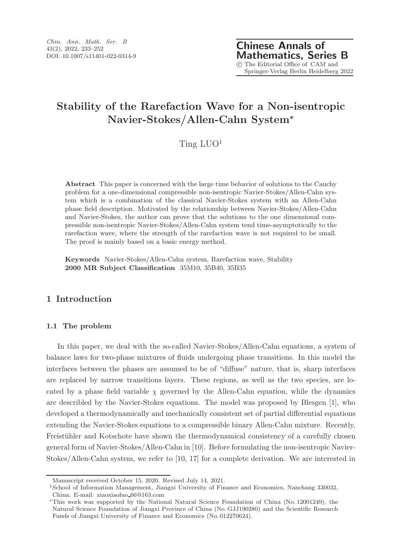# Stability of the Rarefaction Wave for a Non-isentropic Navier-Stokes/Allen-Cahn System<sup>∗</sup>

# Ting  $LUO<sup>1</sup>$

Abstract This paper is concerned with the large time behavior of solutions to the Cauchy problem for a one-dimensional compressible non-isentropic Navier-Stokes/Allen-Cahn system which is a combination of the classical Navier-Stokes system with an Allen-Cahn phase field description. Motivated by the relationship between Navier-Stokes/Allen-Cahn and Navier-Stokes, the author can prove that the solutions to the one dimensional compressible non-isentropic Navier-Stokes/Allen-Cahn system tend time-asymptotically to the rarefaction wave, where the strength of the rarefaction wave is not required to be small. The proof is mainly based on a basic energy method.

Keywords Navier-Stokes/Allen-Cahn system, Rarefaction wave, Stability 2000 MR Subject Classification 35M10, 35B40, 35B35

# 1 Introduction

### 1.1 The problem

In this paper, we deal with the so-called Navier-Stokes/Allen-Cahn equations, a system of balance laws for two-phase mixtures of fluids undergoing phase transitions. In this model the interfaces between the phases are assumed to be of "diffuse" nature, that is, sharp interfaces are replaced by narrow transitions layers. These regions, as well as the two species, are located by a phase field variable  $\chi$  governed by the Allen-Cahn equation, while the dynamics are describled by the Navier-Stokes equations. The model was proposed by Blesgen [1], who developed a thermodynamically and mechanically consistent set of partial differential equations extending the Navier-Stokes equations to a compressible binary Allen-Cahn mixture. Recently, Freistühler and Kotschote have shown the thermodynamical consistency of a carefully chosen general form of Navier-Stokes/Allen-Cahn in [10]. Before formulating the non-isentropic Navier-Stokes/Allen-Cahn system, we refer to [10, 17] for a complete derivation. We are interested in

Manuscript received October 15, 2020. Revised July 14, 2021.

<sup>1</sup>School of Information Management, Jiangxi University of Finance and Economics, Nanchang 330032, China. E-mail: xiaoxiaoluo 66@163.com

<sup>∗</sup>This work was supported by the National Natural Science Foundation of China (No. 12001249), the Natural Science Foundation of Jiangxi Province of China (No. GJJ190280) and the Scientific Research Funds of Jiangxi University of Finance and Economics (No. 012270624).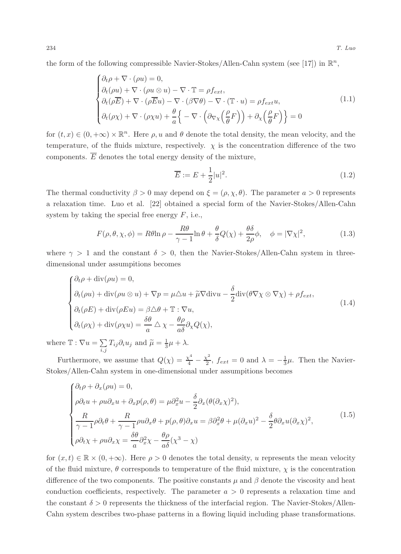the form of the following compressible Navier-Stokes/Allen-Cahn system (see [17]) in  $\mathbb{R}^n$ ,

$$
\begin{cases}\n\partial_t \rho + \nabla \cdot (\rho u) = 0, \\
\partial_t (\rho u) + \nabla \cdot (\rho u \otimes u) - \nabla \cdot \mathbb{T} = \rho f_{ext}, \\
\partial_t (\rho \overline{E}) + \nabla \cdot (\rho \overline{E} u) - \nabla \cdot (\beta \nabla \theta) - \nabla \cdot (\mathbb{T} \cdot u) = \rho f_{ext} u, \\
\partial_t (\rho \chi) + \nabla \cdot (\rho \chi u) + \frac{\theta}{a} \left\{ - \nabla \cdot \left( \partial_{\nabla \chi} \left( \frac{\rho}{\theta} F \right) \right) + \partial_{\chi} \left( \frac{\rho}{\theta} F \right) \right\} = 0\n\end{cases}
$$
\n(1.1)

for  $(t, x) \in (0, +\infty) \times \mathbb{R}^n$ . Here  $\rho, u$  and  $\theta$  denote the total density, the mean velocity, and the temperature, of the fluids mixture, respectively.  $\chi$  is the concentration difference of the two components.  $\overline{E}$  denotes the total energy density of the mixture,

$$
\overline{E} := E + \frac{1}{2}|u|^2. \tag{1.2}
$$

The thermal conductivity  $\beta > 0$  may depend on  $\xi = (\rho, \chi, \theta)$ . The parameter  $a > 0$  represents a relaxation time. Luo et al. [22] obtained a special form of the Navier-Stokes/Allen-Cahn system by taking the special free energy  $F$ , i.e.,

$$
F(\rho, \theta, \chi, \phi) = R\theta \ln \rho - \frac{R\theta}{\gamma - 1} \ln \theta + \frac{\theta}{\delta} Q(\chi) + \frac{\theta \delta}{2\rho} \phi, \quad \phi = |\nabla \chi|^2,
$$
 (1.3)

where  $\gamma > 1$  and the constant  $\delta > 0$ , then the Navier-Stokes/Allen-Cahn system in threedimensional under assumpitions becomes

$$
\begin{cases}\n\partial_t \rho + \text{div}(\rho u) = 0, \\
\partial_t (\rho u) + \text{div}(\rho u \otimes u) + \nabla p = \mu \Delta u + \tilde{\mu} \nabla \text{div}u - \frac{\delta}{2} \text{div}(\theta \nabla \chi \otimes \nabla \chi) + \rho f_{ext}, \\
\partial_t (\rho E) + \text{div}(\rho E u) = \beta \Delta \theta + \mathbb{T} : \nabla u, \\
\partial_t (\rho \chi) + \text{div}(\rho \chi u) = \frac{\delta \theta}{a} \Delta \chi - \frac{\theta \rho}{a \delta} \partial_\chi Q(\chi),\n\end{cases}
$$
\n(1.4)

where  $\mathbb{T} : \nabla u = \sum_{i}$  $\sum_{i,j} T_{ij} \partial_i u_j$  and  $\widetilde{\mu} = \frac{1}{3} \mu + \lambda$ .

Furthermore, we assume that  $Q(\chi) = \frac{\chi^4}{4} - \frac{\chi^2}{2}$  $\frac{\zeta^2}{2}$ ,  $f_{ext} = 0$  and  $\lambda = -\frac{1}{3}\mu$ . Then the Navier-Stokes/Allen-Cahn system in one-dimensional under assumpitions becomes

$$
\begin{cases}\n\partial_t \rho + \partial_x (\rho u) = 0, \\
\rho \partial_t u + \rho u \partial_x u + \partial_x p(\rho, \theta) = \mu \partial_x^2 u - \frac{\delta}{2} \partial_x (\theta (\partial_x \chi)^2), \\
\frac{R}{\gamma - 1} \rho \partial_t \theta + \frac{R}{\gamma - 1} \rho u \partial_x \theta + p(\rho, \theta) \partial_x u = \beta \partial_x^2 \theta + \mu (\partial_x u)^2 - \frac{\delta}{2} \theta \partial_x u (\partial_x \chi)^2, \\
\rho \partial_t \chi + \rho u \partial_x \chi = \frac{\delta \theta}{a} \partial_x^2 \chi - \frac{\theta \rho}{a \delta} (\chi^3 - \chi)\n\end{cases} \tag{1.5}
$$

for  $(x, t) \in \mathbb{R} \times (0, +\infty)$ . Here  $\rho > 0$  denotes the total density, u represents the mean velocity of the fluid mixture,  $\theta$  corresponds to temperature of the fluid mixture,  $\chi$  is the concentration difference of the two components. The positive constants  $\mu$  and  $\beta$  denote the viscosity and heat conduction coefficients, respectively. The parameter  $a > 0$  represents a relaxation time and the constant  $\delta > 0$  represents the thickness of the interfacial region. The Navier-Stokes/Allen-Cahn system describes two-phase patterns in a flowing liquid including phase transformations.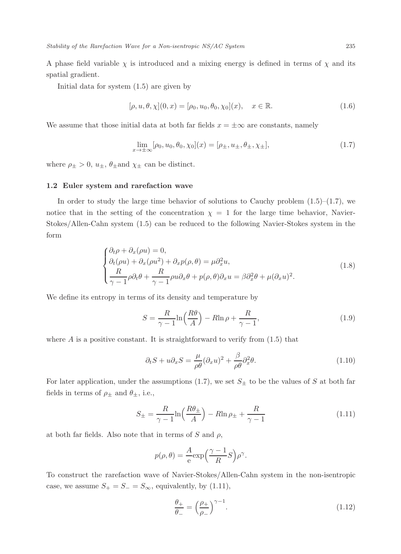A phase field variable  $\chi$  is introduced and a mixing energy is defined in terms of  $\chi$  and its spatial gradient.

Initial data for system (1.5) are given by

$$
[\rho, u, \theta, \chi](0, x) = [\rho_0, u_0, \theta_0, \chi_0](x), \quad x \in \mathbb{R}.
$$
 (1.6)

We assume that those initial data at both far fields  $x = \pm \infty$  are constants, namely

$$
\lim_{x \to \pm \infty} [\rho_0, u_0, \theta_0, \chi_0](x) = [\rho_{\pm}, u_{\pm}, \theta_{\pm}, \chi_{\pm}],
$$
\n(1.7)

where  $\rho_{\pm} > 0$ ,  $u_{\pm}$ ,  $\theta_{\pm}$  and  $\chi_{\pm}$  can be distinct.

#### 1.2 Euler system and rarefaction wave

In order to study the large time behavior of solutions to Cauchy problem  $(1.5)$ – $(1.7)$ , we notice that in the setting of the concentration  $\chi = 1$  for the large time behavior, Navier-Stokes/Allen-Cahn system (1.5) can be reduced to the following Navier-Stokes system in the form

$$
\begin{cases} \partial_t \rho + \partial_x (\rho u) = 0, \\ \partial_t (\rho u) + \partial_x (\rho u^2) + \partial_x p (\rho, \theta) = \mu \partial_x^2 u, \\ \frac{R}{\gamma - 1} \rho \partial_t \theta + \frac{R}{\gamma - 1} \rho u \partial_x \theta + p (\rho, \theta) \partial_x u = \beta \partial_x^2 \theta + \mu (\partial_x u)^2. \end{cases}
$$
(1.8)

We define its entropy in terms of its density and temperature by

$$
S = \frac{R}{\gamma - 1} \ln \left( \frac{R\theta}{A} \right) - R \ln \rho + \frac{R}{\gamma - 1},\tag{1.9}
$$

where  $\hat{A}$  is a positive constant. It is straightforward to verify from  $(1.5)$  that

$$
\partial_t S + u \partial_x S = \frac{\mu}{\rho \theta} (\partial_x u)^2 + \frac{\beta}{\rho \theta} \partial_x^2 \theta.
$$
\n(1.10)

For later application, under the assumptions (1.7), we set  $S_{\pm}$  to be the values of S at both far fields in terms of  $\rho_{\pm}$  and  $\theta_{\pm}$ , i.e.,

$$
S_{\pm} = \frac{R}{\gamma - 1} \ln \left( \frac{R \theta_{\pm}}{A} \right) - R \ln \rho_{\pm} + \frac{R}{\gamma - 1}
$$
\n(1.11)

at both far fields. Also note that in terms of S and  $\rho$ ,

$$
p(\rho,\theta) = \frac{A}{e} \exp\left(\frac{\gamma - 1}{R}S\right) \rho^{\gamma}.
$$

To construct the rarefaction wave of Navier-Stokes/Allen-Cahn system in the non-isentropic case, we assume  $S_+ = S_- = S_\infty$ , equivalently, by (1.11),

$$
\frac{\theta_{+}}{\theta_{-}} = \left(\frac{\rho_{+}}{\rho_{-}}\right)^{\gamma - 1}.\tag{1.12}
$$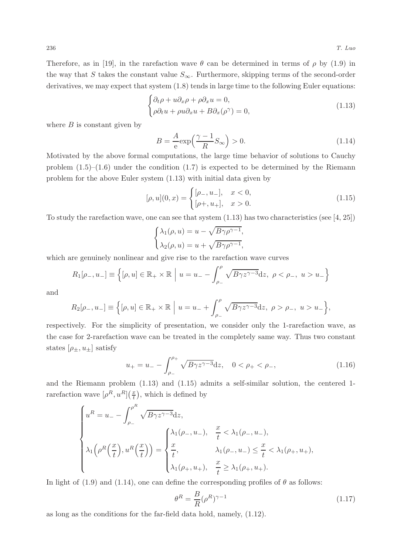Therefore, as in [19], in the rarefaction wave  $\theta$  can be determined in terms of  $\rho$  by (1.9) in the way that S takes the constant value  $S_{\infty}$ . Furthermore, skipping terms of the second-order derivatives, we may expect that system (1.8) tends in large time to the following Euler equations:

$$
\begin{cases} \partial_t \rho + u \partial_x \rho + \rho \partial_x u = 0, \\ \rho \partial_t u + \rho u \partial_x u + B \partial_x (\rho^\gamma) = 0, \end{cases}
$$
 (1.13)

where  $B$  is constant given by

$$
B = \frac{A}{e} \exp\left(\frac{\gamma - 1}{R} S_{\infty}\right) > 0.
$$
\n(1.14)

Motivated by the above formal computations, the large time behavior of solutions to Cauchy problem  $(1.5)$ – $(1.6)$  under the condition  $(1.7)$  is expected to be determined by the Riemann problem for the above Euler system (1.13) with initial data given by

$$
[\rho, u](0, x) = \begin{cases} [\rho_-, u_-, & x < 0, \\ [\rho_+, u_+, & x > 0. \end{cases}
$$
 (1.15)

To study the rarefaction wave, one can see that system  $(1.13)$  has two characteristics (see [4, 25])

$$
\begin{cases} \lambda_1(\rho, u) = u - \sqrt{B\gamma \rho^{\gamma - 1}}, \\ \lambda_2(\rho, u) = u + \sqrt{B\gamma \rho^{\gamma - 1}}, \end{cases}
$$

which are genuinely nonlinear and give rise to the rarefaction wave curves

$$
R_1[\rho_-, u_-] \equiv \left\{ [\rho, u] \in \mathbb{R}_+ \times \mathbb{R} \middle| u = u_- - \int_{\rho_-}^{\rho} \sqrt{B\gamma z^{\gamma - 3}} dz, \ \rho < \rho_-, \ u > u_- \right\}
$$

and

$$
R_2[\rho_-, u_-] \equiv \left\{ [\rho, u] \in \mathbb{R}_+ \times \mathbb{R} \middle| u = u_- + \int_{\rho_-}^{\rho} \sqrt{B\gamma z^{\gamma-3}} dz, \ \rho > \rho_-, \ u > u_- \right\},\
$$

respectively. For the simplicity of presentation, we consider only the 1-rarefaction wave, as the case for 2-rarefaction wave can be treated in the completely same way. Thus two constant states  $[\rho_{\pm}, u_{\pm}]$  satisfy

$$
u_{+} = u_{-} - \int_{\rho_{-}}^{\rho_{+}} \sqrt{B\gamma z^{\gamma - 3}} dz, \quad 0 < \rho_{+} < \rho_{-}, \tag{1.16}
$$

and the Riemann problem (1.13) and (1.15) admits a self-similar solution, the centered 1 rarefaction wave  $\left[\rho^R, u^R\right] \left(\frac{x}{t}\right)$ , which is defined by

$$
\begin{cases}\nu^{R} = u_{-} - \int_{\rho_{-}}^{\rho^{R}} \sqrt{B\gamma z^{\gamma-3}} dz, \\
\lambda_{1}(\rho^{R}(\frac{x}{t}), u^{R}(\frac{x}{t})) = \begin{cases}\n\lambda_{1}(\rho_{-}, u_{-}), & \frac{x}{t} < \lambda_{1}(\rho_{-}, u_{-}), \\
\frac{x}{t}, & \lambda_{1}(\rho_{-}, u_{-}) \leq \frac{x}{t} < \lambda_{1}(\rho_{+}, u_{+}), \\
\lambda_{1}(\rho_{+}, u_{+}), & \frac{x}{t} \geq \lambda_{1}(\rho_{+}, u_{+}).\n\end{cases}\n\end{cases}
$$

In light of (1.9) and (1.14), one can define the corresponding profiles of  $\theta$  as follows:

$$
\theta^R = \frac{B}{R} (\rho^R)^{\gamma - 1} \tag{1.17}
$$

as long as the conditions for the far-field data hold, namely, (1.12).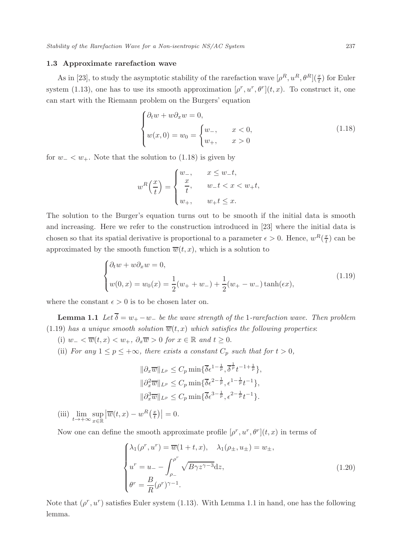#### 1.3 Approximate rarefaction wave

As in [23], to study the asymptotic stability of the rarefaction wave  $[\rho^R, u^R, \theta^R](\frac{x}{t})$  for Euler system (1.13), one has to use its smooth approximation  $[\rho^r, u^r, \theta^r](t, x)$ . To construct it, one can start with the Riemann problem on the Burgers' equation

$$
\begin{cases} \partial_t w + w \partial_x w = 0, \\ w(x, 0) = w_0 = \begin{cases} w_-, & x < 0, \\ w_+, & x > 0 \end{cases} \end{cases} \tag{1.18}
$$

for  $w_$  <  $w_+$ . Note that the solution to (1.18) is given by

$$
w^{R}\left(\frac{x}{t}\right) = \begin{cases} w_{-}, & x \leq w_{-}t, \\ \frac{x}{t}, & w_{-}t < x < w_{+}t, \\ w_{+}, & w_{+}t \leq x. \end{cases}
$$

The solution to the Burger's equation turns out to be smooth if the initial data is smooth and increasing. Here we refer to the construction introduced in [23] where the initial data is chosen so that its spatial derivative is proportional to a parameter  $\epsilon > 0$ . Hence,  $w^R(\frac{x}{t})$  can be approximated by the smooth function  $\overline{w}(t, x)$ , which is a solution to

$$
\begin{cases} \partial_t w + w \partial_x w = 0, \\ w(0, x) = w_0(x) = \frac{1}{2}(w_+ + w_-) + \frac{1}{2}(w_+ - w_-) \tanh(\epsilon x), \end{cases}
$$
(1.19)

where the constant  $\epsilon > 0$  is to be chosen later on.

**Lemma 1.1** Let  $\overline{\delta} = w_+ - w_-$  be the wave strength of the 1-rarefaction wave. Then problem (1.19) has a unique smooth solution  $\overline{w}(t, x)$  which satisfies the following properties:

- (i)  $w_- < \overline{w}(t, x) < w_+, \ \partial_x \overline{w} > 0$  for  $x \in \mathbb{R}$  and  $t \geq 0$ .
- (ii) For any  $1 \le p \le +\infty$ , there exists a constant  $C_p$  such that for  $t > 0$ ,

$$
\|\partial_x \overline{w}\|_{L^p} \le C_p \min\{\overline{\delta} \epsilon^{1-\frac{1}{p}}, \overline{\delta}^{\frac{1}{p}} t^{-1+\frac{1}{p}}\},
$$
  

$$
\|\partial_x^2 \overline{w}\|_{L^p} \le C_p \min\{\overline{\delta} \epsilon^{2-\frac{1}{p}}, \epsilon^{1-\frac{1}{p}} t^{-1}\},
$$
  

$$
\|\partial_x^3 \overline{w}\|_{L^p} \le C_p \min\{\overline{\delta} \epsilon^{3-\frac{1}{p}}, \epsilon^{2-\frac{1}{p}} t^{-1}\}.
$$

(iii)  $\lim_{t\to+\infty} \sup_{x\in\mathbb{R}}$  $\left|\overline{w}(t,x)-w^R\left(\frac{x}{t}\right)\right|=0.$ 

Now one can define the smooth approximate profile  $[\rho^r, u^r, \theta^r](t, x)$  in terms of

$$
\begin{cases}\n\lambda_1(\rho^r, u^r) = \overline{w}(1+t, x), & \lambda_1(\rho_\pm, u_\pm) = w_\pm, \\
u^r = u_--\int_{\rho_-}^{\rho^r} \sqrt{B\gamma z^{\gamma-3}} dz, \\
\theta^r = \frac{B}{R}(\rho^r)^{\gamma-1}.\n\end{cases}
$$
\n(1.20)

Note that  $(\rho^r, u^r)$  satisfies Euler system (1.13). With Lemma 1.1 in hand, one has the following lemma.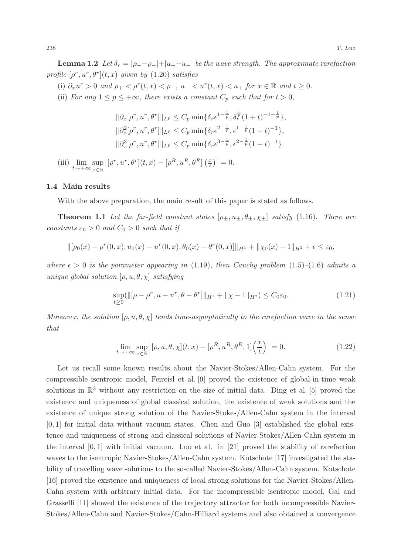**Lemma 1.2** Let  $\delta_r = |\rho_+ - \rho_-| + |u_+ - u_-|$  be the wave strength. The approximate rarefaction profile  $[\rho^r, u^r, \theta^r](t, x)$  given by  $(1.20)$  satisfies

(i)  $\partial_x u^r > 0$  and  $\rho_+ < \rho^r(t, x) < \rho_-, u_- < u^r(t, x) < u_+$  for  $x \in \mathbb{R}$  and  $t \ge 0$ .

(ii) For any  $1 \le p \le +\infty$ , there exists a constant  $C_p$  such that for  $t > 0$ ,

$$
\|\partial_x[\rho^r, u^r, \theta^r]\|_{L^p} \le C_p \min\{\delta_r \epsilon^{1-\frac{1}{p}}, \delta_r^{\frac{1}{p}} (1+t)^{-1+\frac{1}{p}}\},
$$
  

$$
\|\partial_x^2[\rho^r, u^r, \theta^r]\|_{L^p} \le C_p \min\{\delta_r \epsilon^{2-\frac{1}{p}}, \epsilon^{1-\frac{1}{p}} (1+t)^{-1}\},
$$
  

$$
\|\partial_x^3[\rho^r, u^r, \theta^r]\|_{L^p} \le C_p \min\{\delta_r \epsilon^{3-\frac{1}{p}}, \epsilon^{2-\frac{1}{p}} (1+t)^{-1}\}.
$$

(iii)  $\lim_{t\to+\infty} \sup_{x\in\mathbb{R}}$  $\left| \left[ \rho^r, u^r, \theta^r \right](t,x) - \left[ \rho^R, u^R, \theta^R \right] \left( \frac{x}{t} \right) \right| = 0.$ 

#### 1.4 Main results

With the above preparation, the main result of this paper is stated as follows.

**Theorem 1.1** Let the far-field constant states  $[\rho_{\pm}, u_{\pm}, \theta_{\pm}, \chi_{\pm}]$  satisfy (1.16). There are constants  $\varepsilon_0 > 0$  and  $C_0 > 0$  such that if

$$
\|[\rho_0(x) - \rho^r(0, x), u_0(x) - u^r(0, x), \theta_0(x) - \theta^r(0, x)]\|_{H^1} + \|\chi_0(x) - 1\|_{H^2} + \epsilon \leq \varepsilon_0,
$$

where  $\epsilon > 0$  is the parameter appearing in (1.19), then Cauchy problem (1.5)–(1.6) admits a unique global solution  $[\rho, u, \theta, \chi]$  satisfying

$$
\sup_{t\geq 0} (\|[\rho - \rho^r, u - u^r, \theta - \theta^r]\|_{H^1} + \|\chi - 1\|_{H^2}) \leq C_0 \varepsilon_0.
$$
\n(1.21)

Moreover, the solution  $[\rho, u, \theta, \chi]$  tends time-asymptotically to the rarefaction wave in the sense that

$$
\lim_{t \to +\infty} \sup_{x \in \mathbb{R}} \left| [\rho, u, \theta, \chi](t, x) - [\rho^R, u^R, \theta^R, 1] \left( \frac{x}{t} \right) \right| = 0. \tag{1.22}
$$

Let us recall some known results about the Navier-Stokes/Allen-Cahn system. For the compressible isentropic model, Feireisl et al. [9] proved the existence of global-in-time weak solutions in  $\mathbb{R}^3$  without any restriction on the size of initial data. Ding et al. [5] proved the existence and uniqueness of global classical solution, the existence of weak solutions and the existence of unique strong solution of the Navier-Stokes/Allen-Cahn system in the interval [0, 1] for initial data without vacuum states. Chen and Guo [3] established the global existence and uniqueness of strong and classical solutions of Navier-Stokes/Allen-Cahn system in the interval  $[0, 1]$  with initial vacuum. Luo et al. in [21] proved the stability of rarefaction waves to the isentropic Navier-Stokes/Allen-Cahn system. Kotschote [17] investigated the stability of travelling wave solutions to the so-called Navier-Stokes/Allen-Cahn system. Kotschote [16] proved the existence and uniqueness of local strong solutions for the Navier-Stokes/Allen-Cahn system with arbitrary initial data. For the incompressible isentropic model, Gal and Grasselli [11] showed the existence of the trajectory attractor for both incompressible Navier-Stokes/Allen-Cahn and Navier-Stokes/Cahn-Hilliard systems and also obtained a convergence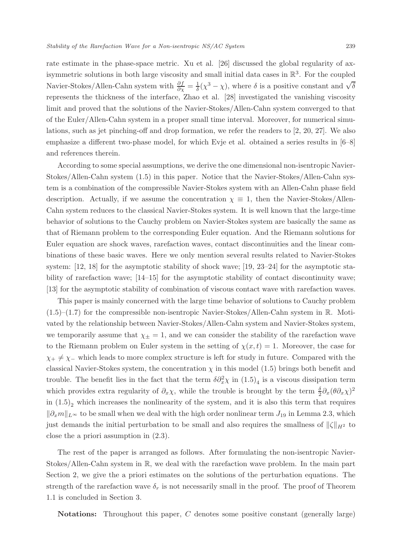rate estimate in the phase-space metric. Xu et al. [26] discussed the global regularity of axisymmetric solutions in both large viscosity and small initial data cases in  $\mathbb{R}^3$ . For the coupled Navier-Stokes/Allen-Cahn system with  $\frac{\partial f}{\partial \chi} = \frac{1}{\delta}(\chi^3 - \chi)$ , where  $\delta$  is a positive constant and  $\sqrt{\delta}$ represents the thickness of the interface, Zhao et al. [28] investigated the vanishing viscosity limit and proved that the solutions of the Navier-Stokes/Allen-Cahn system converged to that of the Euler/Allen-Cahn system in a proper small time interval. Moreover, for numerical simulations, such as jet pinching-off and drop formation, we refer the readers to [2, 20, 27]. We also emphasize a different two-phase model, for which Evje et al. obtained a series results in [6–8] and references therein.

According to some special assumptions, we derive the one dimensional non-isentropic Navier-Stokes/Allen-Cahn system (1.5) in this paper. Notice that the Navier-Stokes/Allen-Cahn system is a combination of the compressible Navier-Stokes system with an Allen-Cahn phase field description. Actually, if we assume the concentration  $\chi \equiv 1$ , then the Navier-Stokes/Allen-Cahn system reduces to the classical Navier-Stokes system. It is well known that the large-time behavior of solutions to the Cauchy problem on Navier-Stokes system are basically the same as that of Riemann problem to the corresponding Euler equation. And the Riemann solutions for Euler equation are shock waves, rarefaction waves, contact discontinuities and the linear combinations of these basic waves. Here we only mention several results related to Navier-Stokes system: [12, 18] for the asymptotic stability of shock wave; [19, 23–24] for the asymptotic stability of rarefaction wave; [14–15] for the asymptotic stability of contact discontinuity wave; [13] for the asymptotic stability of combination of viscous contact wave with rarefaction waves.

This paper is mainly concerned with the large time behavior of solutions to Cauchy problem  $(1.5)$ – $(1.7)$  for the compressible non-isentropic Navier-Stokes/Allen-Cahn system in R. Motivated by the relationship between Navier-Stokes/Allen-Cahn system and Navier-Stokes system, we temporarily assume that  $\chi_{\pm} = 1$ , and we can consider the stability of the rarefaction wave to the Riemann problem on Euler system in the setting of  $\chi(x, t) = 1$ . Moreover, the case for  $\chi_+ \neq \chi_-$  which leads to more complex structure is left for study in future. Compared with the classical Navier-Stokes system, the concentration  $\chi$  in this model (1.5) brings both benefit and trouble. The benefit lies in the fact that the term  $\delta \partial_x^2 \chi$  in  $(1.5)_4$  is a viscous dissipation term which provides extra regularity of  $\partial_x \chi$ , while the trouble is brought by the term  $\frac{\delta}{2} \partial_x (\theta \partial_x \chi)^2$ in  $(1.5)$ <sub>2</sub> which increases the nonlinearity of the system, and it is also this term that requires  $\|\partial_x m\|_{L^\infty}$  to be small when we deal with the high order nonlinear term  $J_{19}$  in Lemma 2.3, which just demands the initial perturbation to be small and also requires the smallness of  $\|\zeta\|_{H^2}$  to close the a priori assumption in (2.3).

The rest of the paper is arranged as follows. After formulating the non-isentropic Navier-Stokes/Allen-Cahn system in R, we deal with the rarefaction wave problem. In the main part Section 2, we give the a priori estimates on the solutions of the perturbation equations. The strength of the rarefaction wave  $\delta_r$  is not necessarily small in the proof. The proof of Theorem 1.1 is concluded in Section 3.

Notations: Throughout this paper, C denotes some positive constant (generally large)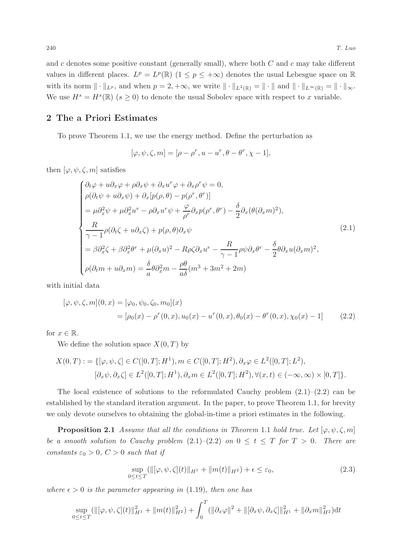and c denotes some positive constant (generally small), where both  $C$  and  $c$  may take different values in different places.  $L^p = L^p(\mathbb{R})$   $(1 \leq p \leq +\infty)$  denotes the usual Lebesgue space on  $\mathbb{R}$ with its norm  $\|\cdot\|_{L^p}$ , and when  $p = 2, +\infty$ , we write  $\|\cdot\|_{L^2(\mathbb{R})} = \|\cdot\|$  and  $\|\cdot\|_{L^\infty(\mathbb{R})} = \|\cdot\|_{\infty}$ . We use  $H^s = H^s(\mathbb{R})$  ( $s \geq 0$ ) to denote the usual Sobolev space with respect to x variable.

# 2 The a Priori Estimates

To prove Theorem 1.1, we use the energy method. Define the perturbation as

$$
[\varphi, \psi, \zeta, m] = [\rho - \rho^r, u - u^r, \theta - \theta^r, \chi - 1],
$$

then  $[\varphi, \psi, \zeta, m]$  satisfies

$$
\begin{cases}\n\partial_t \varphi + u \partial_x \varphi + \rho \partial_x \psi + \partial_x u^r \varphi + \partial_x \rho^r \psi = 0, \\
\rho(\partial_t \psi + u \partial_x \psi) + \partial_x [p(\rho, \theta) - p(\rho^r, \theta^r)] \\
= \mu \partial_x^2 \psi + \mu \partial_x^2 u^r - \rho \partial_x u^r \psi + \frac{\varphi}{\rho^r} \partial_x p(\rho^r, \theta^r) - \frac{\delta}{2} \partial_x (\theta (\partial_x m)^2), \\
\frac{R}{\gamma - 1} \rho(\partial_t \zeta + u \partial_x \zeta) + p(\rho, \theta) \partial_x \psi \\
= \beta \partial_x^2 \zeta + \beta \partial_x^2 \theta^r + \mu (\partial_x u)^2 - R \rho \zeta \partial_x u^r - \frac{R}{\gamma - 1} \rho \psi \partial_x \theta^r - \frac{\delta}{2} \theta \partial_x u (\partial_x m)^2, \\
\rho(\partial_t m + u \partial_x m) = \frac{\delta}{a} \theta \partial_x^2 m - \frac{\rho \theta}{a \delta} (m^3 + 3m^2 + 2m)\n\end{cases} (2.1)
$$

with initial data

$$
[\varphi, \psi, \zeta, m](0, x) = [\varphi_0, \psi_0, \zeta_0, m_0](x)
$$
  
=  $[\rho_0(x) - \rho^r(0, x), u_0(x) - u^r(0, x), \theta_0(x) - \theta^r(0, x), \chi_0(x) - 1]$  (2.2)

for  $x \in \mathbb{R}$ .

We define the solution space  $X(0,T)$  by

$$
X(0,T) := \{ [\varphi, \psi, \zeta] \in C([0,T]; H^1), m \in C([0,T]; H^2), \partial_x \varphi \in L^2([0,T]; L^2), [\partial_x \psi, \partial_x \zeta] \in L^2([0,T]; H^1), \partial_x m \in L^2([0,T]; H^2), \forall (x,t) \in (-\infty, \infty) \times [0,T] \}.
$$

The local existence of solutions to the reformulated Cauchy problem  $(2.1)$ – $(2.2)$  can be established by the standard iteration argument. In the paper, to prove Theorem 1.1, for brevity we only devote ourselves to obtaining the global-in-time a priori estimates in the following.

**Proposition 2.1** Assume that all the conditions in Theorem 1.1 hold true. Let  $[\varphi, \psi, \zeta, m]$ be a smooth solution to Cauchy problem  $(2.1)-(2.2)$  on  $0 \le t \le T$  for  $T > 0$ . There are constants  $\varepsilon_0 > 0$ ,  $C > 0$  such that if

$$
\sup_{0 \le t \le T} (\|[\varphi, \psi, \zeta](t)\|_{H^1} + \|m(t)\|_{H^2}) + \epsilon \le \varepsilon_0, \tag{2.3}
$$

where  $\epsilon > 0$  is the parameter appearing in (1.19), then one has

$$
\sup_{0 \leq t \leq T} (\|[\varphi, \psi, \zeta](t)\|_{H^1}^2 + \|m(t)\|_{H^2}^2) + \int_0^T (\|\partial_x \varphi\|^2 + \|[\partial_x \psi, \partial_x \zeta]\|_{H^1}^2 + \|\partial_x m\|_{H^2}^2) \mathrm{d}t
$$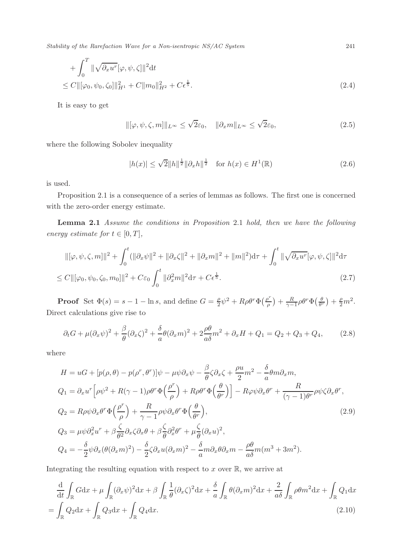Stability of the Rarefaction Wave for a Non-isentropic NS/AC System 241

+ 
$$
\int_0^T \|\sqrt{\partial_x u^r}[\varphi, \psi, \zeta]\|^2 dt
$$
  
\n $\leq C \|[\varphi_0, \psi_0, \zeta_0]\|^2_{H^1} + C \|m_0\|^2_{H^2} + C \epsilon^{\frac{1}{5}}.$  (2.4)

It is easy to get

 $\|[\varphi, \psi, \zeta, m]\|_{L^{\infty}} \leq \sqrt{2}\varepsilon_0, \quad \|\partial_x m\|_{L^{\infty}} \leq \sqrt{\varepsilon}$  $(2.5)$ 

where the following Sobolev inequality

$$
|h(x)| \le \sqrt{2} \|h\|^{\frac{1}{2}} \|\partial_x h\|^{\frac{1}{2}} \quad \text{for } h(x) \in H^1(\mathbb{R})
$$
 (2.6)

is used.

Proposition 2.1 is a consequence of a series of lemmas as follows. The first one is concerned with the zero-order energy estimate.

Lemma 2.1 Assume the conditions in Proposition 2.1 hold, then we have the following energy estimate for  $t \in [0, T]$ ,

$$
\|[\varphi, \psi, \zeta, m]\|^2 + \int_0^t (\|\partial_x \psi\|^2 + \|\partial_x \zeta\|^2 + \|\partial_x m\|^2 + \|m\|^2) d\tau + \int_0^t \|\sqrt{\partial_x u^r}[\varphi, \psi, \zeta]\|^2 d\tau \leq C \|[ \varphi_0, \psi_0, \zeta_0, m_0] \|^2 + C\varepsilon_0 \int_0^t \|\partial_x^2 m\|^2 d\tau + C\varepsilon^{\frac{1}{5}}.
$$
\n(2.7)

**Proof** Set  $\Phi(s) = s - 1 - \ln s$ , and define  $G = \frac{\rho}{2}$  $\frac{\rho}{2}\psi^2+R\rho\theta^r\Phi\left(\frac{\rho^r}{\rho}\right)$  $\left(\frac{\partial^r}{\partial \rho}\right)+\frac{R}{\gamma-1}\rho\theta^r\Phi\left(\frac{\theta}{\theta^r}\right)+\frac{\rho}{2}m^2.$ Direct calculations give rise to

$$
\partial_t G + \mu (\partial_x \psi)^2 + \frac{\beta}{\theta} (\partial_x \zeta)^2 + \frac{\delta}{a} \theta (\partial_x m)^2 + 2 \frac{\rho \theta}{a \delta} m^2 + \partial_x H + Q_1 = Q_2 + Q_3 + Q_4,\tag{2.8}
$$

where

$$
H = uG + [p(\rho, \theta) - p(\rho^r, \theta^r)]\psi - \mu\psi\partial_x\psi - \frac{\beta}{\theta}\zeta\partial_x\zeta + \frac{\rho u}{2}m^2 - \frac{\delta}{a}\theta m\partial_x m,
$$
  
\n
$$
Q_1 = \partial_x u^r \Big[\rho\psi^2 + R(\gamma - 1)\rho\theta^r \Phi\Big(\frac{\rho^r}{\rho}\Big) + R\rho\theta^r \Phi\Big(\frac{\theta}{\theta^r}\Big)\Big] - R\varphi\psi\partial_x\theta^r + \frac{R}{(\gamma - 1)\theta^r}\rho\psi\zeta\partial_x\theta^r,
$$
  
\n
$$
Q_2 = R\rho\psi\partial_x\theta^r \Phi\Big(\frac{\rho^r}{\rho}\Big) + \frac{R}{\gamma - 1}\rho\psi\partial_x\theta^r \Phi\Big(\frac{\theta}{\theta^r}\Big),
$$
  
\n
$$
Q_3 = \mu\psi\partial_x^2 u^r + \beta\frac{\zeta}{\theta^2}\partial_x\zeta\partial_x\theta + \beta\frac{\zeta}{\theta}\partial_x^2\theta^r + \mu\frac{\zeta}{\theta}(\partial_x u)^2,
$$
  
\n
$$
Q_4 = -\frac{\delta}{2}\psi\partial_x(\theta(\partial_x m)^2) - \frac{\delta}{2}\zeta\partial_x u(\partial_x m)^2 - \frac{\delta}{a}m\partial_x\theta\partial_x m - \frac{\rho\theta}{a\delta}m(m^3 + 3m^2).
$$
\n(2.9)

Integrating the resulting equation with respect to  $x$  over  $\mathbb{R}$ , we arrive at

$$
\frac{d}{dt} \int_{\mathbb{R}} G dx + \mu \int_{\mathbb{R}} (\partial_x \psi)^2 dx + \beta \int_{\mathbb{R}} \frac{1}{\theta} (\partial_x \zeta)^2 dx + \frac{\delta}{a} \int_{\mathbb{R}} \theta (\partial_x m)^2 dx + \frac{2}{a\delta} \int_{\mathbb{R}} \rho \theta m^2 dx + \int_{\mathbb{R}} Q_1 dx
$$
\n
$$
= \int_{\mathbb{R}} Q_2 dx + \int_{\mathbb{R}} Q_3 dx + \int_{\mathbb{R}} Q_4 dx. \tag{2.10}
$$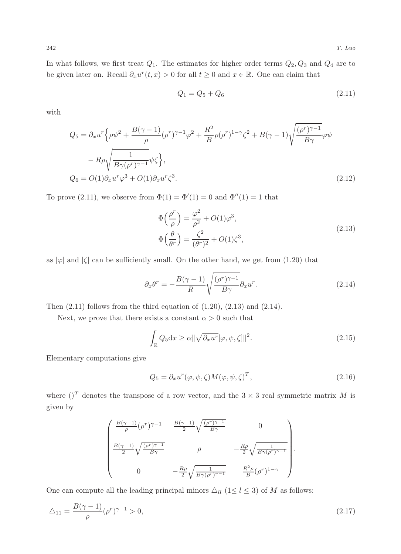In what follows, we first treat  $Q_1$ . The estimates for higher order terms  $Q_2, Q_3$  and  $Q_4$  are to be given later on. Recall  $\partial_x u^r(t, x) > 0$  for all  $t \geq 0$  and  $x \in \mathbb{R}$ . One can claim that

$$
Q_1 = Q_5 + Q_6 \tag{2.11}
$$

with

$$
Q_5 = \partial_x u^r \left\{ \rho \psi^2 + \frac{B(\gamma - 1)}{\rho} (\rho^r)^{\gamma - 1} \varphi^2 + \frac{R^2}{B} \rho (\rho^r)^{1 - \gamma} \zeta^2 + B(\gamma - 1) \sqrt{\frac{(\rho^r)^{\gamma - 1}}{B\gamma}} \varphi \psi \right\}
$$

$$
- R\rho \sqrt{\frac{1}{B\gamma(\rho^r)^{\gamma - 1}}} \psi \zeta \right\},
$$

$$
Q_6 = O(1) \partial_x u^r \varphi^3 + O(1) \partial_x u^r \zeta^3. \tag{2.12}
$$

To prove (2.11), we observe from  $\Phi(1) = \Phi'(1) = 0$  and  $\Phi''(1) = 1$  that

$$
\Phi\left(\frac{\rho^r}{\rho}\right) = \frac{\varphi^2}{\rho^2} + O(1)\varphi^3,
$$
\n
$$
\Phi\left(\frac{\theta}{\theta^r}\right) = \frac{\zeta^2}{(\theta^r)^2} + O(1)\zeta^3,
$$
\n(2.13)

as  $|\varphi|$  and  $|\zeta|$  can be sufficiently small. On the other hand, we get from (1.20) that

$$
\partial_x \theta^r = -\frac{B(\gamma - 1)}{R} \sqrt{\frac{(\rho^r)^{\gamma - 1}}{B\gamma}} \partial_x u^r.
$$
\n(2.14)

Then  $(2.11)$  follows from the third equation of  $(1.20)$ ,  $(2.13)$  and  $(2.14)$ .

Next, we prove that there exists a constant  $\alpha > 0$  such that

$$
\int_{\mathbb{R}} Q_5 \mathrm{d}x \ge \alpha \|\sqrt{\partial_x u^r}[\varphi, \psi, \zeta] \|^2. \tag{2.15}
$$

Elementary computations give

$$
Q_5 = \partial_x u^r(\varphi, \psi, \zeta) M(\varphi, \psi, \zeta)^T,
$$
\n(2.16)

where  $(T$  denotes the transpose of a row vector, and the  $3 \times 3$  real symmetric matrix M is given by

$$
\begin{pmatrix}\n\frac{B(\gamma-1)}{\rho}(\rho^r)^{\gamma-1} & \frac{B(\gamma-1)}{2}\sqrt{\frac{(\rho^r)^{\gamma-1}}{B\gamma}} & 0 \\
\frac{B(\gamma-1)}{2}\sqrt{\frac{(\rho^r)^{\gamma-1}}{B\gamma}} & \rho & -\frac{R\rho}{2}\sqrt{\frac{1}{B\gamma(\rho^r)^{\gamma-1}}}\n\end{pmatrix}.
$$
\n  
\n0\n
$$
-\frac{R\rho}{2}\sqrt{\frac{1}{B\gamma(\rho^r)^{\gamma-1}}} & \frac{R^2\rho}{B}(\rho^r)^{1-\gamma}
$$

One can compute all the leading principal minors  $\Delta_{ll}$  (1 $\leq l \leq 3$ ) of M as follows:

$$
\Delta_{11} = \frac{B(\gamma - 1)}{\rho} (\rho^r)^{\gamma - 1} > 0,
$$
\n(2.17)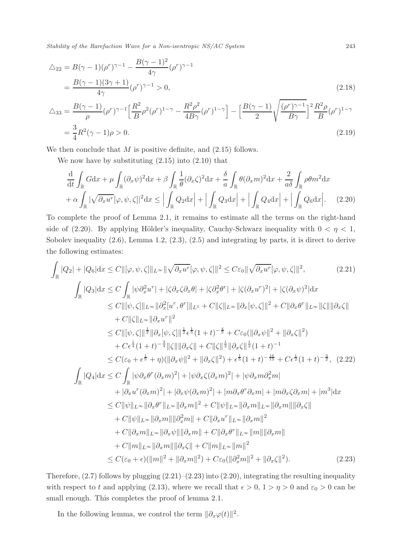Stability of the Rarefaction Wave for a Non-isentropic NS/AC System 243

$$
\Delta_{22} = B(\gamma - 1)(\rho^r)^{\gamma - 1} - \frac{B(\gamma - 1)^2}{4\gamma} (\rho^r)^{\gamma - 1}
$$
\n
$$
= \frac{B(\gamma - 1)(3\gamma + 1)}{4\gamma} (\rho^r)^{\gamma - 1} > 0,
$$
\n
$$
\Delta_{33} = \frac{B(\gamma - 1)}{\rho} (\rho^r)^{\gamma - 1} \left[ \frac{R^2}{B} \rho^2 (\rho^r)^{1 - \gamma} - \frac{R^2 \rho^2}{4B\gamma} (\rho^r)^{1 - \gamma} \right] - \left[ \frac{B(\gamma - 1)}{2} \sqrt{\frac{(\rho^r)^{\gamma - 1}}{B\gamma}} \right]^2 \frac{R^2 \rho}{B} (\rho^r)^{1 - \gamma}
$$
\n
$$
= \frac{3}{4} R^2 (\gamma - 1)\rho > 0.
$$
\n(2.19)

We then conclude that  $M$  is positive definite, and  $(2.15)$  follows.

We now have by substituting  $(2.15)$  into  $(2.10)$  that

$$
\frac{\mathrm{d}}{\mathrm{d}t} \int_{\mathbb{R}} G \mathrm{d}x + \mu \int_{\mathbb{R}} (\partial_x \psi)^2 \mathrm{d}x + \beta \int_{\mathbb{R}} \frac{1}{\theta} (\partial_x \zeta)^2 \mathrm{d}x + \frac{\delta}{a} \int_{\mathbb{R}} \theta (\partial_x m)^2 \mathrm{d}x + \frac{2}{a\delta} \int_{\mathbb{R}} \rho \theta m^2 \mathrm{d}x \n+ \alpha \int_{\mathbb{R}} |\sqrt{\partial_x u^r} [\varphi, \psi, \zeta]|^2 \mathrm{d}x \le \left| \int_{\mathbb{R}} Q_2 \mathrm{d}x \right| + \left| \int_{\mathbb{R}} Q_3 \mathrm{d}x \right| + \left| \int_{\mathbb{R}} Q_4 \mathrm{d}x \right| + \left| \int_{\mathbb{R}} Q_6 \mathrm{d}x \right|.
$$
\n(2.20)

To complete the proof of Lemma 2.1, it remains to estimate all the terms on the right-hand side of (2.20). By applying Hölder's inequality, Cauchy-Schwarz inequality with  $0 < \eta < 1$ , Sobolev inequality (2.6), Lemma 1.2, (2.3), (2.5) and integrating by parts, it is direct to derive the following estimates:

$$
\int_{\mathbb{R}} |Q_{2}| + |Q_{6}|dx \leq C \|\[\varphi, \psi, \zeta\]\|_{L^{\infty}} \|\sqrt{\partial_{x}u^{r}}[\varphi, \psi, \zeta]\|^{2} \leq C\varepsilon_{0} \|\sqrt{\partial_{x}u^{r}}[\varphi, \psi, \zeta]\|^{2}, \qquad (2.21)
$$
\n
$$
\int_{\mathbb{R}} |Q_{3}|dx \leq C \int_{\mathbb{R}} |\psi \partial_{x}^{2}u^{r}| + |\zeta \partial_{x} \zeta \partial_{x} \theta| + |\zeta \partial_{x}^{2} \theta^{r}| + |\zeta (\partial_{x}u^{r})^{2}| + |\zeta (\partial_{x} \psi)^{2}| dx
$$
\n
$$
\leq C \|\[\psi, \zeta\]\|_{L^{\infty}} \|\partial_{x}^{2}[u^{r}, \theta^{r}]\|_{L^{1}} + C \|\zeta\|_{L^{\infty}} \|\partial_{x}[\psi, \zeta]\|^{2} + C \|\partial_{x} \theta^{r}\|_{L^{\infty}} \|\zeta\|\|\partial_{x} \zeta\|
$$
\n
$$
+ C \|\zeta\|_{L^{\infty}} \|\partial_{x}[\psi, \zeta]\|^{1/2} \leq C \|\[\psi, \zeta\]\|^{1/2} \|\partial_{x}[\psi, \zeta]\|^{1/2} \leq \|\zeta\|_{L^{1}} \|\partial_{x}[\zeta\| + t)^{-\frac{4}{5}} + C\varepsilon_{0}(\|\partial_{x} \psi\|^{2} + \|\partial_{x} \zeta\|^{2})
$$
\n
$$
+ C\varepsilon_{4}^{1}(1+t)^{-\frac{3}{4}} \|\zeta\|\|\partial_{x} \zeta\| + C \|\zeta\|^{1/2} \|\partial_{x} \zeta\|^{1/2} + t)^{-1}
$$
\n
$$
\leq C(\varepsilon_{0} + \varepsilon^{1/2} + \eta) (\|\partial_{x} \psi\|^{2} + \|\partial_{x} \zeta\|^{2}) + \varepsilon^{1/2} (1+t)^{-1}
$$
\n
$$
\leq C(\varepsilon_{0} + \varepsilon^{1/2} + \eta) (\|\partial_{x} \psi\|^{2} + \|\partial_{x} \zeta\|^{2}) + \varepsilon^{1/2} (1+t)^{-\frac{1
$$

Therefore,  $(2.7)$  follows by plugging  $(2.21)$ – $(2.23)$  into  $(2.20)$ , integrating the resulting inequality with respect to t and applying (2.13), where we recall that  $\epsilon > 0$ ,  $1 > \eta > 0$  and  $\varepsilon_0 > 0$  can be small enough. This completes the proof of lemma 2.1.

In the following lemma, we control the term  $\|\partial_x\varphi(t)\|^2$ .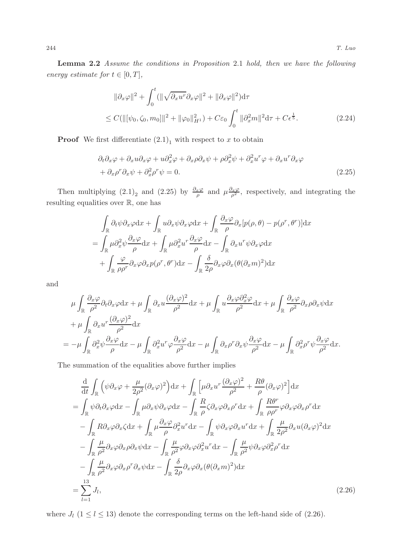Lemma 2.2 Assume the conditions in Proposition 2.1 hold, then we have the following energy estimate for  $t \in [0, T]$ ,

$$
\|\partial_x \varphi\|^2 + \int_0^t (\|\sqrt{\partial_x u^r} \partial_x \varphi\|^2 + \|\partial_x \varphi\|^2) d\tau
$$
  
\n
$$
\leq C(\|[\psi_0, \zeta_0, m_0]\|^2 + \|\varphi_0\|_{H^1}^2) + C\varepsilon_0 \int_0^t \|\partial_x^2 m\|^2 d\tau + C\varepsilon^{\frac{1}{5}}.
$$
\n(2.24)

**Proof** We first differentiate  $(2.1)<sub>1</sub>$  with respect to x to obtain

$$
\partial_t \partial_x \varphi + \partial_x u \partial_x \varphi + u \partial_x^2 \varphi + \partial_x \rho \partial_x \psi + \rho \partial_x^2 \psi + \partial_x^2 u^r \varphi + \partial_x u^r \partial_x \varphi + \partial_x \rho^r \partial_x \psi + \partial_x^2 \rho^r \psi = 0.
$$
\n(2.25)

Then multiplying  $(2.1)_2$  and  $(2.25)$  by  $\frac{\partial_x \varphi}{\rho}$  and  $\mu \frac{\partial_x \varphi}{\rho^2}$ , respectively, and integrating the resulting equalities over R, one has

$$
\int_{\mathbb{R}} \partial_t \psi \partial_x \varphi dx + \int_{\mathbb{R}} u \partial_x \psi \partial_x \varphi dx + \int_{\mathbb{R}} \frac{\partial_x \varphi}{\rho} \partial_x [p(\rho, \theta) - p(\rho^r, \theta^r)] dx
$$

$$
= \int_{\mathbb{R}} \mu \partial_x^2 \psi \frac{\partial_x \varphi}{\rho} dx + \int_{\mathbb{R}} \mu \partial_x^2 u^r \frac{\partial_x \varphi}{\rho} dx - \int_{\mathbb{R}} \partial_x u^r \psi \partial_x \varphi dx
$$

$$
+ \int_{\mathbb{R}} \frac{\varphi}{\rho \rho^r} \partial_x \varphi \partial_x p(\rho^r, \theta^r) dx - \int_{\mathbb{R}} \frac{\delta}{2\rho} \partial_x \varphi \partial_x (\theta (\partial_x m)^2) dx
$$

and

$$
\mu \int_{\mathbb{R}} \frac{\partial_x \varphi}{\rho^2} \partial_t \partial_x \varphi dx + \mu \int_{\mathbb{R}} \partial_x u \frac{(\partial_x \varphi)^2}{\rho^2} dx + \mu \int_{\mathbb{R}} u \frac{\partial_x \varphi \partial_x^2 \varphi}{\rho^2} dx + \mu \int_{\mathbb{R}} \frac{\partial_x \varphi}{\rho^2} \partial_x \rho \partial_x \psi dx
$$
  
+ 
$$
\mu \int_{\mathbb{R}} \partial_x u^r \frac{(\partial_x \varphi)^2}{\rho^2} dx
$$
  
= 
$$
-\mu \int_{\mathbb{R}} \partial_x^2 \psi \frac{\partial_x \varphi}{\rho} dx - \mu \int_{\mathbb{R}} \partial_x^2 u^r \varphi \frac{\partial_x \varphi}{\rho^2} dx - \mu \int_{\mathbb{R}} \partial_x \rho^r \partial_x \psi \frac{\partial_x \varphi}{\rho^2} dx - \mu \int_{\mathbb{R}} \partial_x^2 \rho^r \psi \frac{\partial_x \varphi}{\rho^2} dx.
$$

The summation of the equalities above further implies

$$
\frac{d}{dt} \int_{\mathbb{R}} \left( \psi \partial_x \varphi + \frac{\mu}{2\rho^2} (\partial_x \varphi)^2 \right) dx + \int_{\mathbb{R}} \left[ \mu \partial_x u^r \frac{(\partial_x \varphi)^2}{\rho^2} + \frac{R\theta}{\rho} (\partial_x \varphi)^2 \right] dx
$$
\n
$$
= \int_{\mathbb{R}} \psi \partial_t \partial_x \varphi dx - \int_{\mathbb{R}} \mu \partial_x \psi \partial_x \varphi dx - \int_{\mathbb{R}} \frac{R}{\rho} \zeta \partial_x \varphi \partial_x \rho^r dx + \int_{\mathbb{R}} \frac{R\theta^r}{\rho \rho^r} \varphi \partial_x \varphi \partial_x \rho^r dx
$$
\n
$$
- \int_{\mathbb{R}} R \partial_x \varphi \partial_x \zeta dx + \int_{\mathbb{R}} \mu \frac{\partial_x \varphi}{\rho} \partial_x^2 u^r dx - \int_{\mathbb{R}} \psi \partial_x \varphi \partial_x u^r dx + \int_{\mathbb{R}} \frac{\mu}{2\rho^2} \partial_x u (\partial_x \varphi)^2 dx
$$
\n
$$
- \int_{\mathbb{R}} \frac{\mu}{\rho^2} \partial_x \varphi \partial_x \rho \partial_x \psi dx - \int_{\mathbb{R}} \frac{\mu}{\rho^2} \varphi \partial_x \varphi \partial_x^2 u^r dx - \int_{\mathbb{R}} \frac{\mu}{\rho^2} \psi \partial_x \varphi \partial_x^2 \rho^r dx
$$
\n
$$
- \int_{\mathbb{R}} \frac{\mu}{\rho^2} \partial_x \varphi \partial_x \rho^r \partial_x \psi dx - \int_{\mathbb{R}} \frac{\delta}{2\rho} \partial_x \varphi \partial_x (\theta (\partial_x m)^2) dx
$$
\n
$$
= \sum_{l=1}^{13} J_l,
$$
\n(2.26)

where  $J_l$  (1  $\le l \le 13$ ) denote the corresponding terms on the left-hand side of (2.26).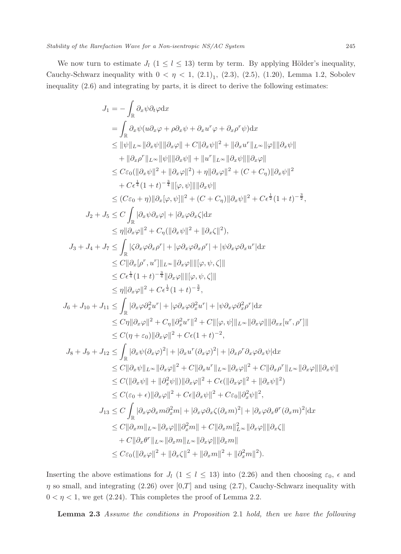inequality (2.6) and integrating by parts, it is direct to derive the following estimates:

$$
J_1 = -\int_{\mathbb{R}} \partial_x \psi \partial_t \varphi dx
$$
  
\n
$$
= \int_{\mathbb{R}} \partial_x \psi (u \partial_x \varphi + \rho \partial_x \psi + \partial_x u^r \varphi + \partial_x \rho^r \psi) dx
$$
  
\n
$$
\leq ||\psi||_{L^{\infty}} ||\partial_x \psi|| ||\partial_x \varphi|| + C ||\partial_x \psi||^2 + ||\partial_x u^r||_{L^{\infty}} ||\varphi|| ||\partial_x \psi||
$$
  
\n
$$
+ ||\partial_x \rho^r||_{L^{\infty}} ||\psi|| ||\partial_x \psi|| + ||u^r||_{L^{\infty}} ||\partial_x \psi|| ||\partial_x \varphi||
$$
  
\n
$$
\leq C\varepsilon_0 (||\partial_x \psi||^2 + ||\partial_x \varphi||^2) + \eta ||\partial_x \varphi||^2 + (C + C\eta)||\partial_x \psi||^2
$$
  
\n
$$
+ C\varepsilon^{\frac{1}{4}} (1 + t)^{-\frac{3}{4}} ||[\varphi, \psi]|| |\partial_x \psi||
$$
  
\n
$$
\leq (C\varepsilon_0 + \eta) ||\partial_x [\varphi, \psi]||^2 + (C + C\eta) ||\partial_x \psi||^2 + C\varepsilon^{\frac{1}{2}} (1 + t)^{-\frac{3}{2}},
$$
  
\n
$$
J_2 + J_5 \leq C \int_{\mathbb{R}} |\partial_x \psi \partial_x \varphi| + |\partial_x \varphi \partial_x \zeta| dx
$$
  
\n
$$
\leq \eta ||\partial_x \varphi||^2 + C\eta (||\partial_x \psi||^2 + ||\partial_x \zeta||^2),
$$
  
\n
$$
J_3 + J_4 + J_7 \leq \int_{\mathbb{R}} |\partial_x \varphi \partial_x \varphi| + |\varphi \partial_x \varphi \partial_x \rho^r| + |\psi \partial_x \varphi \partial_x u^r| dx
$$
  
\n
$$
\leq C ||\partial_x [\varphi, u^r] ||_{L^{\infty}} ||\partial_x \varphi|| ||[\varphi, \psi, \zeta] ||
$$
  
\n
$$
\leq C\varepsilon^{\frac{1}{4}} (1 + t)^{-\frac{3}{4}} ||\partial_x \varphi|| ||[\varphi, \psi, \zeta] ||]
$$
  
\

Inserting the above estimations for  $J_l$  (1  $\le l \le 13$ ) into (2.26) and then choosing  $\varepsilon_0$ ,  $\epsilon$  and  $\eta$  so small, and integrating (2.26) over [0,T] and using (2.7), Cauchy-Schwarz inequality with  $0 < \eta < 1$ , we get (2.24). This completes the proof of Lemma 2.2.

Lemma 2.3 Assume the conditions in Proposition 2.1 hold, then we have the following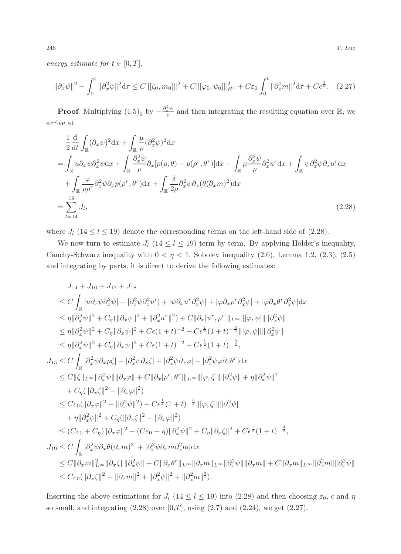energy estimate for  $t \in [0, T]$ ,

$$
\|\partial_x \psi\|^2 + \int_0^t \|\partial_x^2 \psi\|^2 d\tau \le C \|\zeta_0, m_0\|^2 + C \|\varphi_0, \psi_0\|\|_{H^1}^2 + C\varepsilon_0 \int_0^t \|\partial_x^2 m\|^2 d\tau + C\varepsilon^{\frac{1}{5}}. \tag{2.27}
$$

**Proof** Multiplying  $(1.5)<sub>2</sub>$  by  $-\frac{\partial_x^2 \psi}{\rho}$  and then integrating the resulting equation over R, we arrive at

$$
\frac{1}{2}\frac{d}{dt}\int_{\mathbb{R}}(\partial_x\psi)^2 dx + \int_{\mathbb{R}}\frac{\mu}{\rho}(\partial_x^2\psi)^2 dx
$$
\n
$$
= \int_{\mathbb{R}}u\partial_x\psi\partial_x^2\psi dx + \int_{\mathbb{R}}\frac{\partial_x^2\psi}{\rho}\partial_x[p(\rho,\theta) - p(\rho^r,\theta^r)]dx - \int_{\mathbb{R}}\mu\frac{\partial_x^2\psi}{\rho}\partial_x^2u^r dx + \int_{\mathbb{R}}\psi\partial_x^2\psi\partial_xu^r dx
$$
\n
$$
+ \int_{\mathbb{R}}\frac{\varphi}{\rho\rho^r}\partial_x^2\psi\partial_xp(\rho^r,\theta^r)dx + \int_{\mathbb{R}}\frac{\delta}{2\rho}\partial_x^2\psi\partial_x(\theta(\partial_xm)^2)dx
$$
\n
$$
= \sum_{l=14}^{19}J_l,
$$
\n(2.28)

where  $J_l$  (14  $\leq l \leq$  19) denote the corresponding terms on the left-hand side of (2.28).

We now turn to estimate  $J_l$  (14  $\leq l \leq$  19) term by term. By applying Hölder's inequality, Cauchy-Schwarz inequality with  $0 < \eta < 1$ , Sobolev inequality (2.6), Lemma 1.2, (2.3), (2.5) and integrating by parts, it is direct to derive the following estimates:

$$
J_{14} + J_{16} + J_{17} + J_{18}
$$
  
\n
$$
\leq C \int_{\mathbb{R}} |u \partial_x \psi \partial_x^2 \psi| + |\partial_x^2 \psi \partial_x^2 u^r| + |\psi \partial_x u^r \partial_x^2 \psi| + |\varphi \partial_x \rho^r \partial_x^2 \psi| + |\varphi \partial_x \theta^r \partial_x^2 \psi| dx
$$
  
\n
$$
\leq \eta ||\partial_x^2 \psi||^2 + C_{\eta} (||\partial_x \psi||^2 + ||\partial_x^2 u^r||^2) + C ||\partial_x [u^r, \rho^r] ||_{L^{\infty}} ||[\varphi, \psi] ||||\partial_x^2 \psi||
$$
  
\n
$$
\leq \eta ||\partial_x^2 \psi||^2 + C_{\eta} ||\partial_x \psi||^2 + C\epsilon (1+t)^{-2} + C\epsilon^{\frac{1}{4}} (1+t)^{-\frac{3}{4}} ||[\varphi, \psi] ||||\partial_x^2 \psi||
$$
  
\n
$$
\leq \eta ||\partial_x^2 \psi||^2 + C_{\eta} ||\partial_x \psi||^2 + C\epsilon (1+t)^{-2} + C\epsilon^{\frac{1}{2}} (1+t)^{-\frac{3}{2}},
$$
  
\n
$$
J_{15} \leq C \int_{\mathbb{R}} |\partial_x^2 \psi \partial_x \rho \zeta| + |\partial_x^2 \psi \partial_x \zeta| + |\partial_x^2 \psi \partial_x \varphi| + |\partial_x^2 \psi \partial_x \varphi^r| dx
$$
  
\n
$$
\leq C ||\zeta||_{L^{\infty}} ||\partial_x^2 \psi|| ||\partial_x \varphi|| + C ||\partial_x [\rho^r, \theta^r] ||_{L^{\infty}} ||[\varphi, \zeta] || ||\partial_x^2 \psi|| + \eta ||\partial_x^2 \psi||^2
$$
  
\n
$$
+ C_{\eta} (||\partial_x \zeta||^2 + ||\partial_x \varphi||^2)
$$
  
\n
$$
\leq C \varepsilon_0 (||\partial_x \varphi||^2 + ||\partial_x^2 \psi||^2) + C\epsilon^{\frac{1}{4}} (1+t)^{-\frac{3}{4}} ||[\varphi, \zeta] || ||\partial_x^2 \psi||
$$
  
\n
$$
+ \eta ||\partial_x^2 \psi||^2 + C_{\eta
$$

Inserting the above estimations for  $J_l$  (14  $\leq l \leq$  19) into (2.28) and then choosing  $\varepsilon_0$ ,  $\epsilon$  and  $\eta$ so small, and integrating  $(2.28)$  over  $[0,T]$ , using  $(2.7)$  and  $(2.24)$ , we get  $(2.27)$ .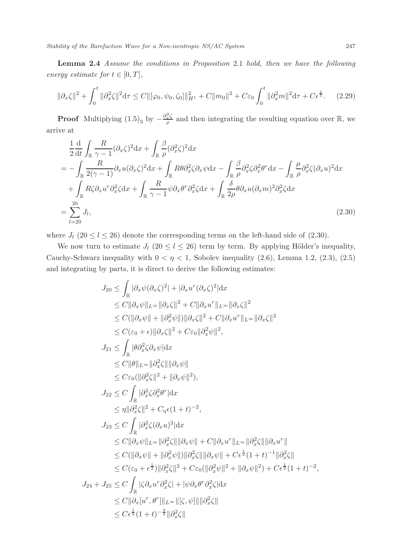Lemma 2.4 Assume the conditions in Proposition 2.1 hold, then we have the following energy estimate for  $t \in [0, T]$ ,

$$
\|\partial_x \zeta\|^2 + \int_0^t \|\partial_x^2 \zeta\|^2 d\tau \le C \|\varphi_0, \psi_0, \zeta_0\|_{H^1}^2 + C \|m_0\|^2 + C\varepsilon_0 \int_0^t \|\partial_x^2 m\|^2 d\tau + C\epsilon^{\frac{1}{5}}.
$$
 (2.29)

**Proof** Multiplying  $(1.5)_{3}$  by  $-\frac{\partial_x^2 \zeta}{\rho}$  $\frac{d^2S}{\rho}$  and then integrating the resulting equation over R, we arrive at

$$
\frac{1}{2}\frac{d}{dt}\int_{\mathbb{R}}\frac{R}{\gamma-1}(\partial_x\zeta)^2dx + \int_{\mathbb{R}}\frac{\beta}{\rho}(\partial_x^2\zeta)^2dx
$$
\n
$$
= -\int_{\mathbb{R}}\frac{R}{2(\gamma-1)}\partial_x u(\partial_x\zeta)^2dx + \int_{\mathbb{R}}R\theta\partial_x^2\zeta\partial_x\psi dx - \int_{\mathbb{R}}\frac{\beta}{\rho}\partial_x^2\zeta\partial_x^2\theta^r dx - \int_{\mathbb{R}}\frac{\mu}{\rho}\partial_x^2\zeta(\partial_x u)^2dx
$$
\n
$$
+ \int_{\mathbb{R}}R\zeta\partial_x u^r\partial_x^2\zeta dx + \int_{\mathbb{R}}\frac{R}{\gamma-1}\psi\partial_x\theta^r\partial_x^2\zeta dx + \int_{\mathbb{R}}\frac{\delta}{2\rho}\theta\partial_x u(\partial_x m)^2\partial_x^2\zeta dx
$$
\n
$$
= \sum_{l=20}^{26}J_l,
$$
\n(2.30)

where  $J_l$  (20  $\le l \le 26$ ) denote the corresponding terms on the left-hand side of (2.30).

We now turn to estimate  $J_l$  (20  $\leq l \leq 26$ ) term by term. By applying Hölder's inequality, Cauchy-Schwarz inequality with  $0 < \eta < 1$ , Sobolev inequality (2.6), Lemma 1.2, (2.3), (2.5) and integrating by parts, it is direct to derive the following estimates:

$$
J_{20} \leq \int_{\mathbb{R}} |\partial_x \psi (\partial_x \zeta)^2| + |\partial_x u^r (\partial_x \zeta)^2| dx
$$
  
\n
$$
\leq C ||\partial_x \psi||_{L^{\infty}} ||\partial_x \zeta||^2 + C ||\partial_x u^r||_{L^{\infty}} ||\partial_x \zeta||^2
$$
  
\n
$$
\leq C (||\partial_x \psi|| + ||\partial_x^2 \psi||) ||\partial_x \zeta||^2 + C ||\partial_x u^r||_{L^{\infty}} ||\partial_x \zeta||^2
$$
  
\n
$$
\leq C(\varepsilon_0 + \varepsilon) ||\partial_x \zeta||^2 + C\varepsilon_0 ||\partial_x^2 \psi||^2,
$$
  
\n
$$
J_{21} \leq \int_{\mathbb{R}} |\partial_x^2 \zeta \partial_x \psi| dx
$$
  
\n
$$
\leq C ||\theta||_{L^{\infty}} ||\partial_x^2 \zeta|| ||\partial_x \psi||
$$
  
\n
$$
\leq C\varepsilon_0 (||\partial_x^2 \zeta||^2 + ||\partial_x \psi||^2),
$$
  
\n
$$
J_{22} \leq C \int_{\mathbb{R}} |\partial_x^2 \zeta \partial_x^2 \theta^r| dx
$$
  
\n
$$
\leq \eta ||\partial_x^2 \zeta||^2 + C_{\eta} \epsilon (1 + t)^{-2},
$$
  
\n
$$
J_{23} \leq C \int_{\mathbb{R}} |\partial_x^2 \zeta (\partial_x u)^2| dx
$$
  
\n
$$
\leq C ||\partial_x \psi||_{L^{\infty}} ||\partial_x^2 \zeta|| ||\partial_x \psi|| + C ||\partial_x u^r||_{L^{\infty}} ||\partial_x^2 \zeta|| ||\partial_x u^r||
$$
  
\n
$$
\leq C (||\partial_x \psi|| + ||\partial_x^2 \psi||) ||\partial_x^2 \zeta|| ||\partial_x \psi|| + C\varepsilon^{\frac{1}{2}} (1 + t)^{-1} ||\partial_x^2 \zeta||
$$
  
\n
$$
\leq C(\varepsilon_0 + \varepsilon^{\frac{1}{2}}) ||\partial_x \zeta||^2 + C\varepsilon_0 (||\partial_x^2 \psi||^2 + ||\partial_x \psi||^2) + C\varepsilon^{\frac{1}{
$$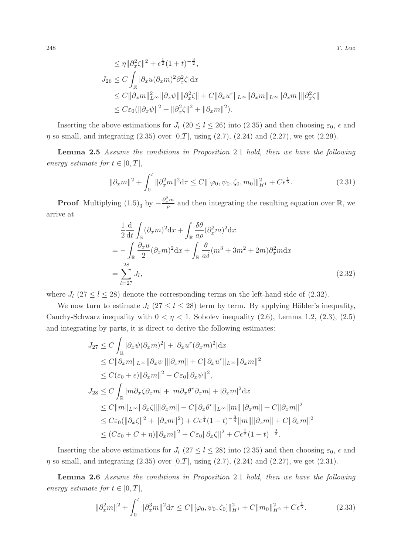$$
\leq \eta \|\partial_x^2 \zeta\|^2 + \epsilon^{\frac{1}{2}} (1+t)^{-\frac{3}{2}},
$$
  
\n
$$
J_{26} \leq C \int_{\mathbb{R}} |\partial_x u(\partial_x m)^2 \partial_x^2 \zeta| dx
$$
  
\n
$$
\leq C \|\partial_x m\|_{L^\infty}^2 \|\partial_x \psi\| \|\partial_x^2 \zeta\| + C \|\partial_x u^r\|_{L^\infty} \|\partial_x m\|_{L^\infty} \|\partial_x m\| \|\partial_x^2 \zeta\|
$$
  
\n
$$
\leq C \varepsilon_0 (\|\partial_x \psi\|^2 + \|\partial_x^2 \zeta\|^2 + \|\partial_x m\|^2).
$$

Inserting the above estimations for  $J_l$  (20  $\leq l \leq 26$ ) into (2.35) and then choosing  $\varepsilon_0$ ,  $\epsilon$  and  $\eta$  so small, and integrating (2.35) over [0,T], using (2.7), (2.24) and (2.27), we get (2.29).

Lemma 2.5 Assume the conditions in Proposition 2.1 hold, then we have the following energy estimate for  $t \in [0, T]$ ,

$$
\|\partial_x m\|^2 + \int_0^t \|\partial_x^2 m\|^2 d\tau \le C \|\varphi_0, \psi_0, \zeta_0, m_0\|\|_{H^1}^2 + C\epsilon^{\frac{1}{5}}.
$$
\n(2.31)

**Proof** Multiplying  $(1.5)$ <sub>3</sub> by  $-\frac{\partial_x^2 m}{\rho}$  and then integrating the resulting equation over R, we arrive at

$$
\frac{1}{2}\frac{d}{dt}\int_{\mathbb{R}}(\partial_x m)^2 dx + \int_{\mathbb{R}}\frac{\delta\theta}{a\rho}(\partial_x^2 m)^2 dx
$$
  
= 
$$
-\int_{\mathbb{R}}\frac{\partial_x u}{2}(\partial_x m)^2 dx + \int_{\mathbb{R}}\frac{\theta}{a\delta}(m^3 + 3m^2 + 2m)\partial_x^2 m dx
$$
  
= 
$$
\sum_{l=27}^{28} J_l,
$$
 (2.32)

where  $J_l$  (27  $\leq l \leq 28$ ) denote the corresponding terms on the left-hand side of (2.32).

We now turn to estimate  $J_l$  (27  $\leq l \leq 28$ ) term by term. By applying Hölder's inequality, Cauchy-Schwarz inequality with  $0 < \eta < 1$ , Sobolev inequality (2.6), Lemma 1.2, (2.3), (2.5) and integrating by parts, it is direct to derive the following estimates:

$$
J_{27} \leq C \int_{\mathbb{R}} |\partial_x \psi (\partial_x m)^2| + |\partial_x u^r (\partial_x m)^2| dx
$$
  
\n
$$
\leq C ||\partial_x m||_{L^{\infty}} ||\partial_x \psi|| ||\partial_x m|| + C ||\partial_x u^r||_{L^{\infty}} ||\partial_x m||^2
$$
  
\n
$$
\leq C(\varepsilon_0 + \varepsilon) ||\partial_x m||^2 + C\varepsilon_0 ||\partial_x \psi||^2,
$$
  
\n
$$
J_{28} \leq C \int_{\mathbb{R}} |m \partial_x \zeta \partial_x m| + |m \partial_x \theta^r \partial_x m| + |\partial_x m|^2 dx
$$
  
\n
$$
\leq C ||m||_{L^{\infty}} ||\partial_x \zeta|| ||\partial_x m|| + C ||\partial_x \theta^r||_{L^{\infty}} ||m|| ||\partial_x m|| + C ||\partial_x m||^2
$$
  
\n
$$
\leq C\varepsilon_0 (||\partial_x \zeta||^2 + ||\partial_x m||^2) + C\varepsilon^{\frac{1}{4}} (1+t)^{-\frac{3}{4}} ||m|| ||\partial_x m|| + C ||\partial_x m||^2
$$
  
\n
$$
\leq (C\varepsilon_0 + C + \eta) ||\partial_x m||^2 + C\varepsilon_0 ||\partial_x \zeta||^2 + C\varepsilon^{\frac{1}{2}} (1+t)^{-\frac{3}{2}}.
$$

Inserting the above estimations for  $J_l$  (27  $\le l \le 28$ ) into (2.35) and then choosing  $\varepsilon_0$ ,  $\epsilon$  and  $\eta$  so small, and integrating (2.35) over [0,T], using (2.7), (2.24) and (2.27), we get (2.31).

Lemma 2.6 Assume the conditions in Proposition 2.1 hold, then we have the following energy estimate for  $t \in [0, T]$ ,

$$
\|\partial_x^2 m\|^2 + \int_0^t \|\partial_x^3 m\|^2 d\tau \le C \|\varphi_0, \psi_0, \zeta_0\|\|_{H^1}^2 + C \|m_0\|_{H^2}^2 + C\epsilon^{\frac{1}{5}}.
$$
 (2.33)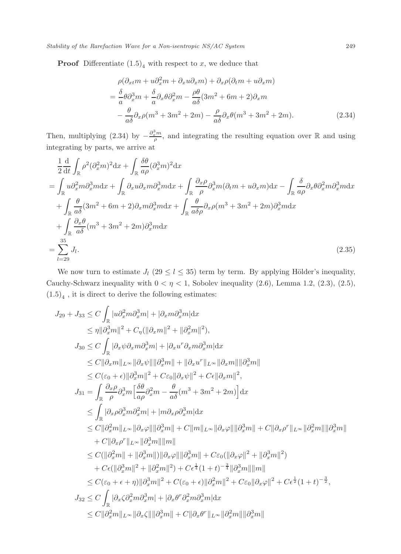Stability of the Rarefaction Wave for a Non-isentropic NS/AC System 249

**Proof** Differentiate  $(1.5)<sub>4</sub>$  with respect to x, we deduce that

$$
\rho(\partial_{xt}m + u\partial_x^2 m + \partial_x u\partial_x m) + \partial_x \rho(\partial_t m + u\partial_x m)
$$
  
=  $\frac{\delta}{a}\theta \partial_x^3 m + \frac{\delta}{a}\partial_x \theta \partial_x^2 m - \frac{\rho \theta}{a\delta}(3m^2 + 6m + 2)\partial_x m$   
 $-\frac{\theta}{a\delta}\partial_x \rho(m^3 + 3m^2 + 2m) - \frac{\rho}{a\delta}\partial_x \theta(m^3 + 3m^2 + 2m).$  (2.34)

Then, multiplying (2.34) by  $-\frac{\partial_x^3 m}{\rho}$ , and integrating the resulting equation over R and using integrating by parts, we arrive at

$$
\frac{1}{2}\frac{d}{dt}\int_{\mathbb{R}}\rho^{2}(\partial_{x}^{2}m)^{2}dx + \int_{\mathbb{R}}\frac{\delta\theta}{a\rho}(\partial_{x}^{3}m)^{2}dx
$$
\n
$$
= \int_{\mathbb{R}}u\partial_{x}^{2}m\partial_{x}^{3}mdx + \int_{\mathbb{R}}\partial_{x}u\partial_{x}m\partial_{x}^{3}mdx + \int_{\mathbb{R}}\frac{\partial_{x}\rho}{\rho}\partial_{x}^{3}m(\partial_{t}m + u\partial_{x}m)dx - \int_{\mathbb{R}}\frac{\delta}{a\rho}\partial_{x}\theta\partial_{x}^{2}m\partial_{x}^{3}mdx
$$
\n
$$
+ \int_{\mathbb{R}}\frac{\theta}{a\delta}(3m^{2} + 6m + 2)\partial_{x}m\partial_{x}^{3}mdx + \int_{\mathbb{R}}\frac{\theta}{a\delta\rho}\partial_{x}\rho(m^{3} + 3m^{2} + 2m)\partial_{x}^{3}mdx
$$
\n
$$
+ \int_{\mathbb{R}}\frac{\partial_{x}\theta}{a\delta}(m^{3} + 3m^{2} + 2m)\partial_{x}^{3}mdx
$$
\n
$$
= \sum_{l=29}^{35}J_{l}.
$$
\n(2.35)

We now turn to estimate  $J_l$  (29  $\leq l \leq$  35) term by term. By applying Hölder's inequality, Cauchy-Schwarz inequality with  $0 < \eta < 1$ , Sobolev inequality (2.6), Lemma 1.2, (2.3), (2.5),  $(1.5)<sub>4</sub>$ , it is direct to derive the following estimates:

$$
J_{29} + J_{33} \leq C \int_{\mathbb{R}} |u \partial_x^2 m \partial_x^3 m| + |\partial_x m \partial_x^3 m| dx
$$
  
\n
$$
\leq \eta ||\partial_x^3 m||^2 + C_{\eta} (||\partial_x m||^2 + ||\partial_x^2 m||^2),
$$
  
\n
$$
J_{30} \leq C \int_{\mathbb{R}} |\partial_x \psi \partial_x m \partial_x^3 m| + |\partial_x u^T \partial_x m \partial_x^3 m| dx
$$
  
\n
$$
\leq C ||\partial_x m||_{L^{\infty}} ||\partial_x \psi|| ||\partial_x^3 m|| + ||\partial_x u^T||_{L^{\infty}} ||\partial_x m|| ||\partial_x^3 m||
$$
  
\n
$$
\leq C(\varepsilon_0 + \varepsilon) ||\partial_x^3 m||^2 + C\varepsilon_0 ||\partial_x \psi||^2 + C\varepsilon ||\partial_x m||^2,
$$
  
\n
$$
J_{31} = \int_{\mathbb{R}} \frac{\partial_x \rho}{\rho} \partial_x^3 m \Big[ \frac{\delta \theta}{a \rho} \partial_x^2 m - \frac{\theta}{a \delta} (m^3 + 3m^2 + 2m) \Big] dx
$$
  
\n
$$
\leq \int_{\mathbb{R}} |\partial_x \rho \partial_x^3 m \partial_x^2 m| + |m \partial_x \rho \partial_x^3 m| dx
$$
  
\n
$$
\leq C ||\partial_x^2 m||_{L^{\infty}} ||\partial_x \varphi|| ||\partial_x^3 m|| + C ||m||_{L^{\infty}} ||\partial_x \varphi|| ||\partial_x^3 m|| + C ||\partial_x \rho^r||_{L^{\infty}} ||\partial_x^2 m|| ||\partial_x^3 m||
$$
  
\n
$$
+ C ||\partial_x \rho^r||_{L^{\infty}} ||\partial_x^3 m|| ||m||
$$
  
\n
$$
\leq C (||\partial_x^2 m|| + ||\partial_x^3 m||) ||\partial_x \varphi|| ||\partial_x^3 m|| + C\varepsilon_0 (||\partial_x \varphi||^2 + ||\partial_x^3 m||^2)
$$
  
\n
$$
+ C\varepsilon (||\partial_x^3 m||^2 + ||\partial_x^2 m||^2) + C\varepsilon_4^{\frac{1}{4}} (1 + t)^{-\frac{3}{4}} ||\partial_x
$$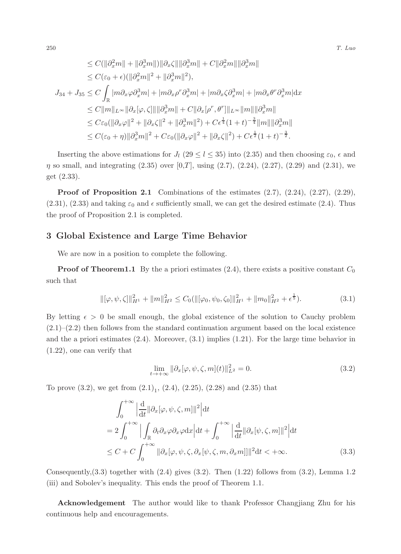$$
\leq C(||\partial_x^2 m|| + ||\partial_x^3 m||) ||\partial_x \zeta|| ||\partial_x^3 m|| + C||\partial_x^2 m|| ||\partial_x^3 m||
$$
  
\n
$$
\leq C(\varepsilon_0 + \epsilon)(||\partial_x^2 m||^2 + ||\partial_x^3 m||^2),
$$
  
\n
$$
J_{34} + J_{35} \leq C \int_{\mathbb{R}} |m \partial_x \varphi \partial_x^3 m| + |m \partial_x \rho^r \partial_x^3 m| + |m \partial_x \zeta \partial_x^3 m| + |m \partial_x \theta^r \partial_x^3 m| \mathrm{d}x
$$
  
\n
$$
\leq C||m||_{L^{\infty}} ||\partial_x[\varphi, \zeta] || ||\partial_x^3 m|| + C||\partial_x[\rho^r, \theta^r] ||_{L^{\infty}} ||m|| ||\partial_x^3 m||
$$
  
\n
$$
\leq C\varepsilon_0(||\partial_x \varphi||^2 + ||\partial_x \zeta||^2 + ||\partial_x^3 m||^2) + C\epsilon^{\frac{1}{4}}(1+t)^{-\frac{3}{4}} ||m|| ||\partial_x^3 m||
$$
  
\n
$$
\leq C(\varepsilon_0 + \eta) ||\partial_x^3 m||^2 + C\varepsilon_0(||\partial_x \varphi||^2 + ||\partial_x \zeta||^2) + C\epsilon^{\frac{1}{2}}(1+t)^{-\frac{3}{2}}.
$$

Inserting the above estimations for  $J_l$  (29  $\leq l \leq 35$ ) into (2.35) and then choosing  $\varepsilon_0$ ,  $\epsilon$  and  $\eta$  so small, and integrating (2.35) over [0,T], using (2.7), (2.24), (2.27), (2.29) and (2.31), we get (2.33).

Proof of Proposition 2.1 Combinations of the estimates  $(2.7)$ ,  $(2.24)$ ,  $(2.27)$ ,  $(2.29)$ ,  $(2.31), (2.33)$  and taking  $\varepsilon_0$  and  $\epsilon$  sufficiently small, we can get the desired estimate (2.4). Thus the proof of Proposition 2.1 is completed.

### 3 Global Existence and Large Time Behavior

We are now in a position to complete the following.

**Proof of Theorem1.1** By the a priori estimates (2.4), there exists a positive constant  $C_0$ such that

$$
\|[\varphi,\psi,\zeta]\|_{H^1}^2 + \|m\|_{H^2}^2 \le C_0(\|[\varphi_0,\psi_0,\zeta_0]\|_{H^1}^2 + \|m_0\|_{H^2}^2 + \epsilon^{\frac{1}{5}}). \tag{3.1}
$$

By letting  $\epsilon > 0$  be small enough, the global existence of the solution to Cauchy problem  $(2.1)$ – $(2.2)$  then follows from the standard continuation argument based on the local existence and the a priori estimates (2.4). Moreover, (3.1) implies (1.21). For the large time behavior in (1.22), one can verify that

$$
\lim_{t \to +\infty} \|\partial_x[\varphi, \psi, \zeta, m](t)\|_{L^2}^2 = 0. \tag{3.2}
$$

To prove  $(3.2)$ , we get from  $(2.1)<sub>1</sub>$ ,  $(2.4)$ ,  $(2.25)$ ,  $(2.28)$  and  $(2.35)$  that

$$
\int_0^{+\infty} \left| \frac{d}{dt} ||\partial_x[\varphi, \psi, \zeta, m]||^2 \right| dt
$$
  
=  $2 \int_0^{+\infty} \left| \int_{\mathbb{R}} \partial_t \partial_x \varphi \partial_x \varphi dx \right| dt + \int_0^{+\infty} \left| \frac{d}{dt} ||\partial_x[\psi, \zeta, m]||^2 \right| dt$   
 $\leq C + C \int_0^{+\infty} ||\partial_x[\varphi, \psi, \zeta, \partial_x[\psi, \zeta, m, \partial_x m]]||^2 dt < +\infty.$  (3.3)

Consequently,  $(3.3)$  together with  $(2.4)$  gives  $(3.2)$ . Then  $(1.22)$  follows from  $(3.2)$ , Lemma 1.2 (iii) and Sobolev's inequality. This ends the proof of Theorem 1.1.

Acknowledgement The author would like to thank Professor Changjiang Zhu for his continuous help and encouragements.

 $250$  T. Luo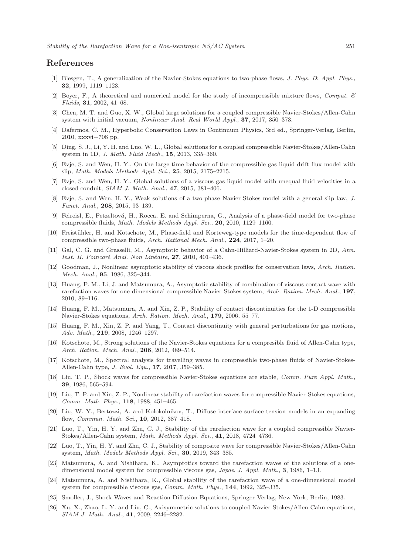## References

- [1] Blesgen, T., A generalization of the Navier-Stokes equations to two-phase flows, J. Phys. D: Appl. Phys., 32, 1999, 1119–1123.
- Boyer, F., A theoretical and numerical model for the study of incompressible mixture flows, Comput.  $\Theta$ Fluids, 31, 2002, 41–68.
- [3] Chen, M. T. and Guo, X. W., Global large solutions for a coupled compressible Navier-Stokes/Allen-Cahn system with initial vacuum, Nonlinear Anal. Real World Appl., 37, 2017, 350–373.
- [4] Dafermos, C. M., Hyperbolic Conservation Laws in Continuum Physics, 3rd ed., Springer-Verlag, Berlin, 2010, xxxvi+708 pp.
- [5] Ding, S. J., Li, Y. H. and Luo, W. L., Global solutions for a coupled compressible Navier-Stokes/Allen-Cahn system in 1D, J. Math. Fluid Mech., 15, 2013, 335–360.
- [6] Evje, S. and Wen, H. Y., On the large time behavior of the compressible gas-liquid drift-flux model with slip, Math. Models Methods Appl. Sci., 25, 2015, 2175–2215.
- [7] Evje, S. and Wen, H. Y., Global solutions of a viscous gas-liquid model with unequal fluid velocities in a closed conduit, SIAM J. Math. Anal., 47, 2015, 381–406.
- [8] Evje, S. and Wen, H. Y., Weak solutions of a two-phase Navier-Stokes model with a general slip law, J. Funct. Anal., 268, 2015, 93–139.
- [9] Feireisl, E., Petzeltová, H., Rocca, E. and Schimperna, G., Analysis of a phase-field model for two-phase compressible fluids, Math. Models Methods Appl. Sci., 20, 2010, 1129–1160.
- [10] Freistühler, H. and Kotschote, M., Phase-field and Korteweg-type models for the time-dependent flow of compressible two-phase fluids, Arch. Rational Mech. Anal., 224, 2017, 1–20.
- [11] Gal, C. G. and Grasselli, M., Asymptotic behavior of a Cahn-Hilliard-Navier-Stokes system in 2D, Ann. Inst. H. Poincaré Anal. Non Linéaire, 27, 2010, 401-436.
- [12] Goodman, J., Nonlinear asymptotic stability of viscous shock profiles for conservation laws, Arch. Ration. Mech. Anal., 95, 1986, 325–344.
- [13] Huang, F. M., Li, J. and Matsumura, A., Asymptotic stability of combination of viscous contact wave with rarefaction waves for one-dimensional compressible Navier-Stokes system, Arch. Ration. Mech. Anal., 197, 2010, 89–116.
- [14] Huang, F. M., Matsumura, A. and Xin, Z. P., Stability of contact discontinuities for the 1-D compressible Navier-Stokes equations, Arch. Ration. Mech. Anal., 179, 2006, 55–77.
- [15] Huang, F. M., Xin, Z. P. and Yang, T., Contact discontinuity with general perturbations for gas motions, Adv. Math., 219, 2008, 1246–1297.
- [16] Kotschote, M., Strong solutions of the Navier-Stokes equations for a compresible fluid of Allen-Cahn type, Arch. Ration. Mech. Anal., 206, 2012, 489-514.
- [17] Kotschote, M., Spectral analysis for travelling waves in compressible two-phase fluids of Navier-Stokes-Allen-Cahn type, J. Evol. Equ., 17, 2017, 359–385.
- [18] Liu, T. P., Shock waves for compressible Navier-Stokes equations are stable, Comm. Pure Appl. Math., 39, 1986, 565–594.
- [19] Liu, T. P. and Xin, Z. P., Nonlinear stability of rarefaction waves for compressible Navier-Stokes equations, Comm. Math. Phys., 118, 1988, 451–465.
- [20] Liu, W. Y., Bertozzi, A. and Kolokolnikov, T., Diffuse interface surface tension models in an expanding flow, Commun. Math. Sci., 10, 2012, 387–418.
- [21] Luo, T., Yin, H. Y. and Zhu, C. J., Stability of the rarefaction wave for a coupled compressible Navier-Stokes/Allen-Cahn system, Math. Methods Appl. Sci., 41, 2018, 4724–4736.
- [22] Luo, T., Yin, H. Y. and Zhu, C. J., Stability of composite wave for compressible Navier-Stokes/Allen-Cahn system, Math. Models Methods Appl. Sci., 30, 2019, 343–385.
- [23] Matsumura, A. and Nishihara, K., Asymptotics toward the rarefaction waves of the solutions of a onedimensional model system for compressible viscous gas, Japan J. Appl. Math., 3, 1986, 1–13.
- [24] Matsumura, A. and Nishihara, K., Global stability of the rarefaction wave of a one-dimensional model system for compressible viscous gas, Comm. Math. Phys., 144, 1992, 325–335.
- [25] Smoller, J., Shock Waves and Reaction-Diffusion Equations, Springer-Verlag, New York, Berlin, 1983.
- [26] Xu, X., Zhao, L. Y. and Liu, C., Axisymmetric solutions to coupled Navier-Stokes/Allen-Cahn equations, SIAM J. Math. Anal., 41, 2009, 2246–2282.